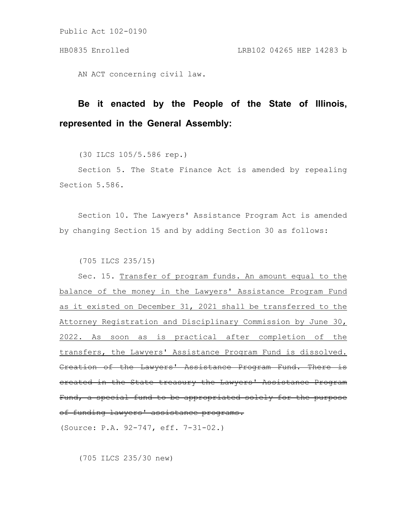Public Act 102-0190

AN ACT concerning civil law.

## **Be it enacted by the People of the State of Illinois, represented in the General Assembly:**

(30 ILCS 105/5.586 rep.)

Section 5. The State Finance Act is amended by repealing Section 5.586.

Section 10. The Lawyers' Assistance Program Act is amended by changing Section 15 and by adding Section 30 as follows:

(705 ILCS 235/15)

Sec. 15. Transfer of program funds. An amount equal to the balance of the money in the Lawyers' Assistance Program Fund as it existed on December 31, 2021 shall be transferred to the Attorney Registration and Disciplinary Commission by June 30, 2022. As soon as is practical after completion of the transfers, the Lawyers' Assistance Program Fund is dissolved. Creation of the Lawyers' Assistance Program Fund. There created in the State treasury the Lawyers' Assistance Program Fund, a special fund to be appropriated solely for the purpose of funding lawyers' assistance programs.

(Source: P.A. 92-747, eff. 7-31-02.)

(705 ILCS 235/30 new)